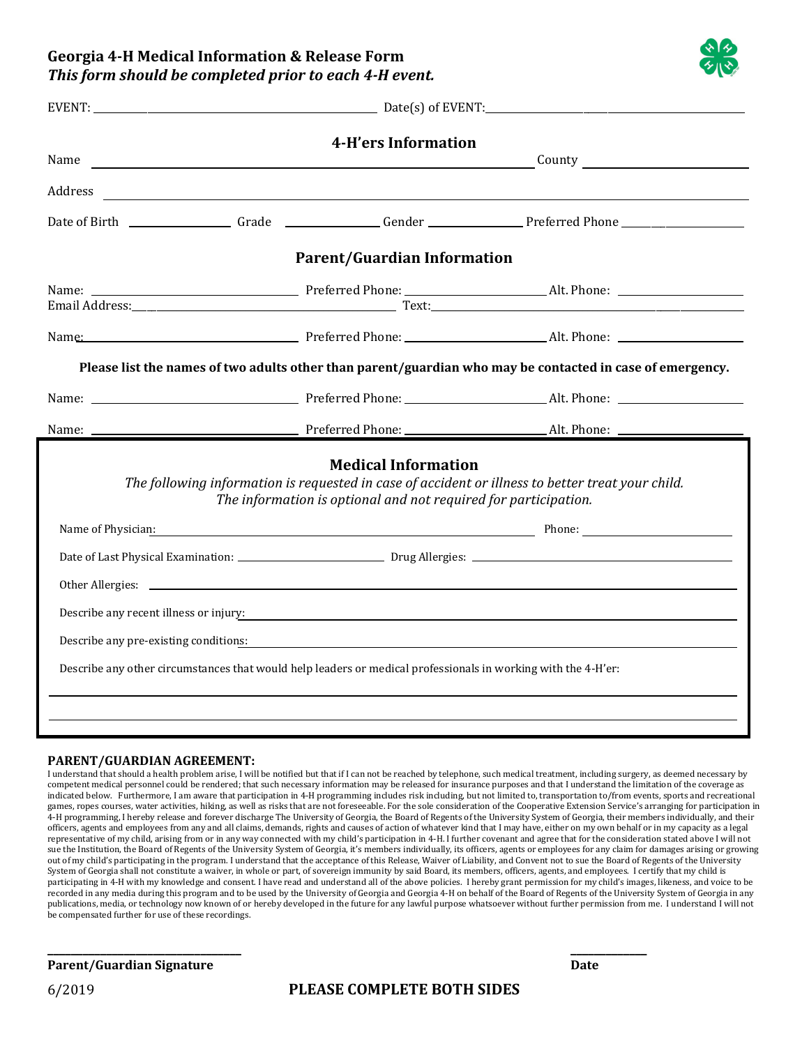**Georgia 4-H Medical Information & Release Form** *This form should be completed prior to each 4-H event.*

|                                                                                                                                                                                                                                | $EVENT:$ Date(s) of EVENT: |                                                                                                                      |                                                                                                                                                                                                                                     |  |
|--------------------------------------------------------------------------------------------------------------------------------------------------------------------------------------------------------------------------------|----------------------------|----------------------------------------------------------------------------------------------------------------------|-------------------------------------------------------------------------------------------------------------------------------------------------------------------------------------------------------------------------------------|--|
| Name                                                                                                                                                                                                                           |                            | 4-H'ers Information                                                                                                  | <u>County</u> countries and the countries of the countries of the countries of the countries of the countries of the countries of the countries of the countries of the countries of the countries of the countries of the countrie |  |
| Address                                                                                                                                                                                                                        |                            | <u> 1989 - Johann Barbara, martin amerikan basar dan berasal dalam basa dalam basar dalam basar dalam basa dalam</u> |                                                                                                                                                                                                                                     |  |
|                                                                                                                                                                                                                                |                            |                                                                                                                      | Date of Birth _________________Grade ______________Gender _______________Preferred Phone _____________________                                                                                                                      |  |
|                                                                                                                                                                                                                                |                            | <b>Parent/Guardian Information</b>                                                                                   |                                                                                                                                                                                                                                     |  |
|                                                                                                                                                                                                                                |                            |                                                                                                                      |                                                                                                                                                                                                                                     |  |
|                                                                                                                                                                                                                                |                            |                                                                                                                      | Name: Mame: Mame: Mame: Mame: Mame: Mame: Mame: Mame: Mame: Mame: Mame: Mame: Mame: Mame: Mame: Mame: Mame: Mame: Mame: Mame: Mame: Mame: Mame: Mame: Mame: Mame: Mame: Mame: Mame: Mame: Mame: Mame: Mame: Mame: Mame: Mame:       |  |
|                                                                                                                                                                                                                                |                            |                                                                                                                      | Please list the names of two adults other than parent/guardian who may be contacted in case of emergency.                                                                                                                           |  |
|                                                                                                                                                                                                                                |                            |                                                                                                                      |                                                                                                                                                                                                                                     |  |
|                                                                                                                                                                                                                                |                            |                                                                                                                      |                                                                                                                                                                                                                                     |  |
|                                                                                                                                                                                                                                |                            | <b>Medical Information</b><br>The information is optional and not required for participation.                        | The following information is requested in case of accident or illness to better treat your child.                                                                                                                                   |  |
| Name of Physician: Name of Physician: Name of Physician: Name of Physician: Name of Physician: Name of Physician: Name of Physician: Name of Physician: Name of Physician: Name of Physician: Name of Physician: Name of Physi |                            |                                                                                                                      |                                                                                                                                                                                                                                     |  |
|                                                                                                                                                                                                                                |                            |                                                                                                                      |                                                                                                                                                                                                                                     |  |
|                                                                                                                                                                                                                                |                            |                                                                                                                      |                                                                                                                                                                                                                                     |  |
|                                                                                                                                                                                                                                |                            |                                                                                                                      | Describe any recent illness or injury:                                                                                                                                                                                              |  |
|                                                                                                                                                                                                                                |                            |                                                                                                                      | Describe any pre-existing conditions: <b>Example 2018</b> 2019 12:30 and 2019 12:30 and 2019 12:30 and 2019 12:30 and 2019 12:30 and 2019 12:30 and 2019 12:30 and 2019 12:30 and 2019 12:30 and 2019 12:30 and 2019 12:30 and 2019 |  |
|                                                                                                                                                                                                                                |                            |                                                                                                                      | Describe any other circumstances that would help leaders or medical professionals in working with the 4-H'er:                                                                                                                       |  |
|                                                                                                                                                                                                                                |                            |                                                                                                                      |                                                                                                                                                                                                                                     |  |

## **PARENT/GUARDIAN AGREEMENT:**

I understand that should a health problem arise, I will be notified but that if I can not be reached by telephone, such medical treatment, including surgery, as deemed necessary by competent medical personnel could be rendered; that such necessary information may be released for insurance purposes and that I understand the limitation of the coverage as indicated below. Furthermore, I am aware that participation in 4-H programming includes risk including, but not limited to, transportation to/from events, sports and recreational games, ropes courses, water activities, hiking, as well as risks that are not foreseeable. For the sole consideration of the Cooperative Extension Service's arranging for participation in 4-H programming, I hereby release and forever discharge The University of Georgia, the Board of Regents of the University System of Georgia, their members individually, and their officers, agents and employees from any and all claims, demands, rights and causes of action of whatever kind that I may have, either on my own behalf or in my capacity as a legal representative of my child, arising from or in any way connected with my child's participation in 4-H. I further covenant and agree that for the consideration stated above I will not sue the Institution, the Board of Regents of the University System of Georgia, it's members individually, its officers, agents or employees for any claim for damages arising or growing out of my child's participating in the program. I understand that the acceptance of this Release, Waiver of Liability, and Convent not to sue the Board of Regents of the University System of Georgia shall not constitute a waiver, in whole or part, of sovereign immunity by said Board, its members, officers, agents, and employees. I certify that my child is participating in 4-H with my knowledge and consent. I have read and understand all of the above policies. I hereby grant permission for my child's images, likeness, and voice to be recorded in any media during this program and to be used by the University of Georgia and Georgia 4-H on behalf of the Board of Regents of the University System of Georgia in any publications, media, or technology now known of or hereby developed in the future for any lawful purpose whatsoever without further permission from me. I understand I will not be compensated further for use of these recordings.